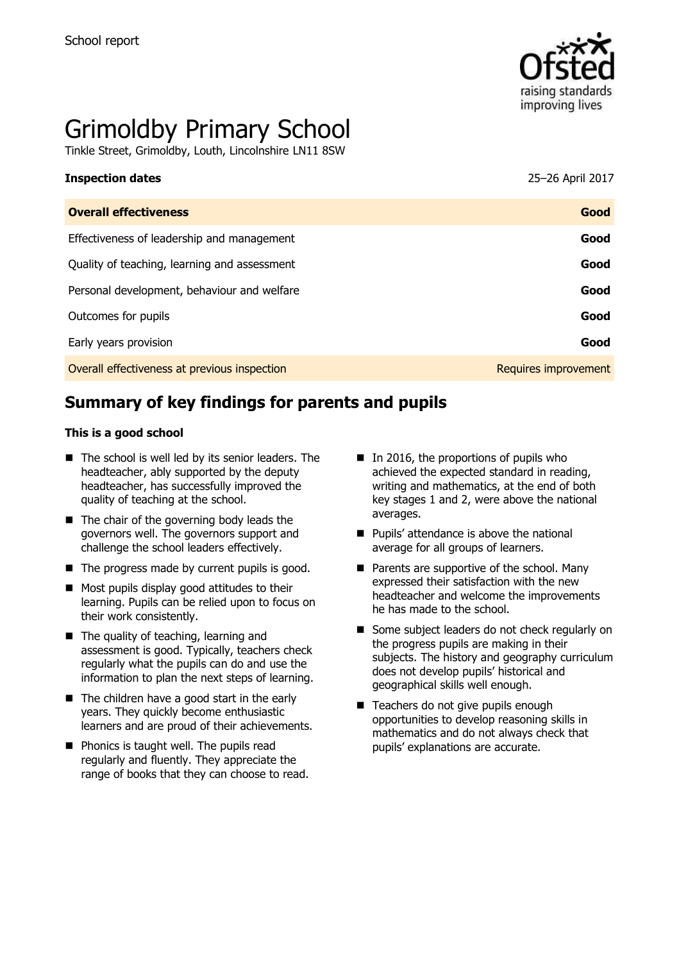

# Grimoldby Primary School

Tinkle Street, Grimoldby, Louth, Lincolnshire LN11 8SW

| <b>Inspection dates</b>                      | 25-26 April 2017 |
|----------------------------------------------|------------------|
| <b>Overall effectiveness</b>                 | Good             |
| Effectiveness of leadership and management   | Good             |
| Quality of teaching, learning and assessment | Good             |
| Personal development, behaviour and welfare  | Good             |
| Outcomes for pupils                          | Good             |

Early years provision **Good**

Overall effectiveness at previous inspection **Requires improvement** Requires improvement

# **Summary of key findings for parents and pupils**

#### **This is a good school**

- The school is well led by its senior leaders. The headteacher, ably supported by the deputy headteacher, has successfully improved the quality of teaching at the school.
- The chair of the governing body leads the governors well. The governors support and challenge the school leaders effectively.
- $\blacksquare$  The progress made by current pupils is good.
- $\blacksquare$  Most pupils display good attitudes to their learning. Pupils can be relied upon to focus on their work consistently.
- The quality of teaching, learning and assessment is good. Typically, teachers check regularly what the pupils can do and use the information to plan the next steps of learning.
- $\blacksquare$  The children have a good start in the early years. They quickly become enthusiastic learners and are proud of their achievements.
- **Phonics is taught well. The pupils read** regularly and fluently. They appreciate the range of books that they can choose to read.
- In 2016, the proportions of pupils who achieved the expected standard in reading, writing and mathematics, at the end of both key stages 1 and 2, were above the national averages.
- **Pupils' attendance is above the national** average for all groups of learners.
- Parents are supportive of the school. Many expressed their satisfaction with the new headteacher and welcome the improvements he has made to the school.
- Some subject leaders do not check regularly on the progress pupils are making in their subjects. The history and geography curriculum does not develop pupils' historical and geographical skills well enough.
- Teachers do not give pupils enough opportunities to develop reasoning skills in mathematics and do not always check that pupils' explanations are accurate.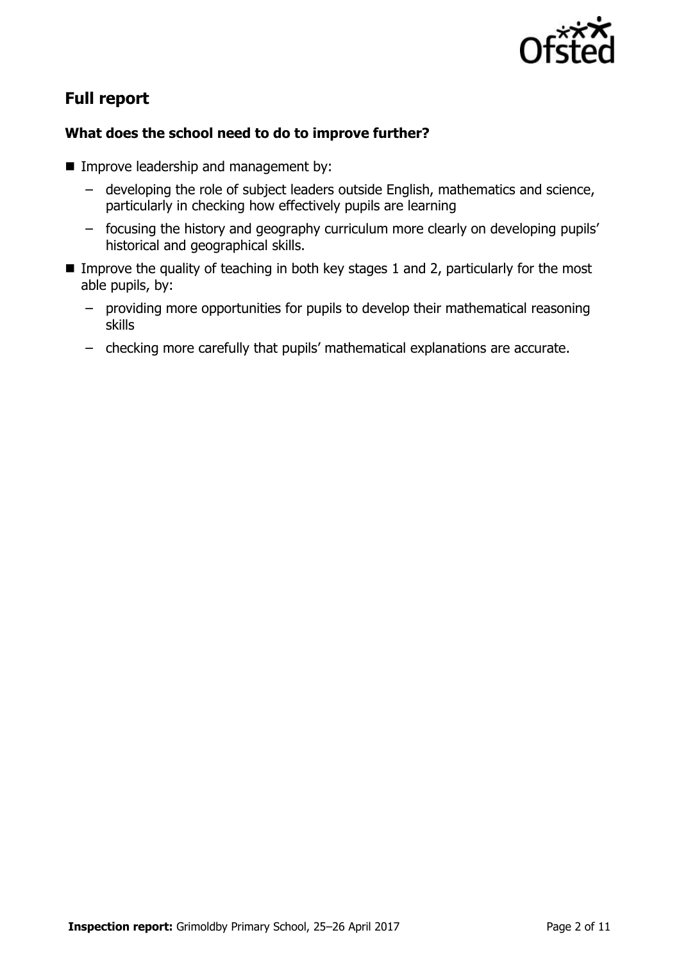

# **Full report**

## **What does the school need to do to improve further?**

- **Improve leadership and management by:** 
	- developing the role of subject leaders outside English, mathematics and science, particularly in checking how effectively pupils are learning
	- focusing the history and geography curriculum more clearly on developing pupils' historical and geographical skills.
- Improve the quality of teaching in both key stages 1 and 2, particularly for the most able pupils, by:
	- providing more opportunities for pupils to develop their mathematical reasoning skills
	- checking more carefully that pupils' mathematical explanations are accurate.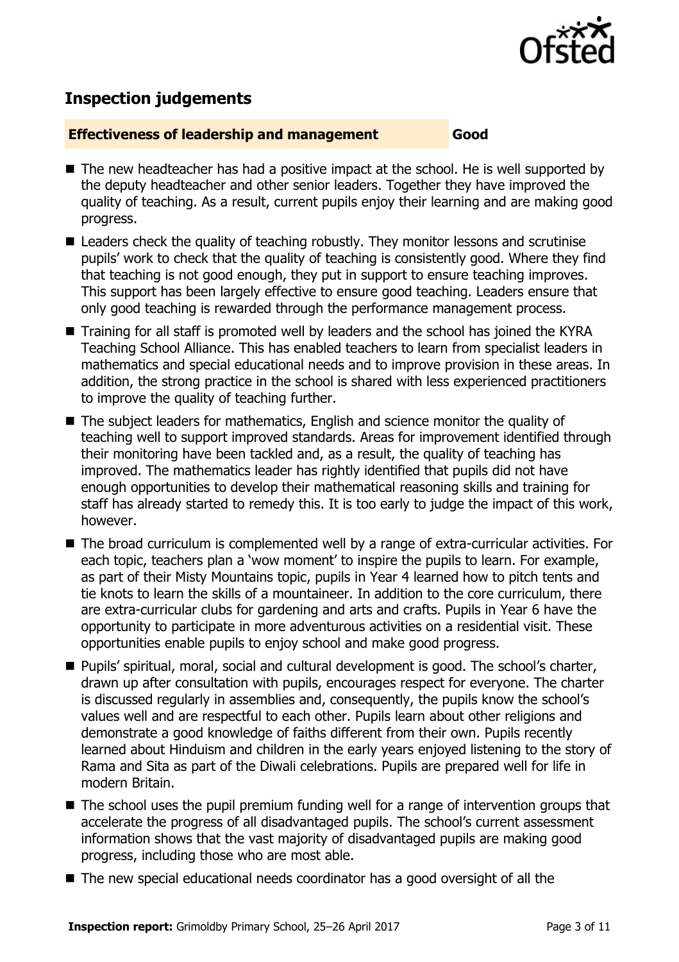

## **Inspection judgements**

#### **Effectiveness of leadership and management Good**

- The new headteacher has had a positive impact at the school. He is well supported by the deputy headteacher and other senior leaders. Together they have improved the quality of teaching. As a result, current pupils enjoy their learning and are making good progress.
- Leaders check the quality of teaching robustly. They monitor lessons and scrutinise pupils' work to check that the quality of teaching is consistently good. Where they find that teaching is not good enough, they put in support to ensure teaching improves. This support has been largely effective to ensure good teaching. Leaders ensure that only good teaching is rewarded through the performance management process.
- Training for all staff is promoted well by leaders and the school has joined the KYRA Teaching School Alliance. This has enabled teachers to learn from specialist leaders in mathematics and special educational needs and to improve provision in these areas. In addition, the strong practice in the school is shared with less experienced practitioners to improve the quality of teaching further.
- The subject leaders for mathematics, English and science monitor the quality of teaching well to support improved standards. Areas for improvement identified through their monitoring have been tackled and, as a result, the quality of teaching has improved. The mathematics leader has rightly identified that pupils did not have enough opportunities to develop their mathematical reasoning skills and training for staff has already started to remedy this. It is too early to judge the impact of this work, however.
- The broad curriculum is complemented well by a range of extra-curricular activities. For each topic, teachers plan a 'wow moment' to inspire the pupils to learn. For example, as part of their Misty Mountains topic, pupils in Year 4 learned how to pitch tents and tie knots to learn the skills of a mountaineer. In addition to the core curriculum, there are extra-curricular clubs for gardening and arts and crafts. Pupils in Year 6 have the opportunity to participate in more adventurous activities on a residential visit. These opportunities enable pupils to enjoy school and make good progress.
- Pupils' spiritual, moral, social and cultural development is good. The school's charter, drawn up after consultation with pupils, encourages respect for everyone. The charter is discussed regularly in assemblies and, consequently, the pupils know the school's values well and are respectful to each other. Pupils learn about other religions and demonstrate a good knowledge of faiths different from their own. Pupils recently learned about Hinduism and children in the early years enjoyed listening to the story of Rama and Sita as part of the Diwali celebrations. Pupils are prepared well for life in modern Britain.
- The school uses the pupil premium funding well for a range of intervention groups that accelerate the progress of all disadvantaged pupils. The school's current assessment information shows that the vast majority of disadvantaged pupils are making good progress, including those who are most able.
- The new special educational needs coordinator has a good oversight of all the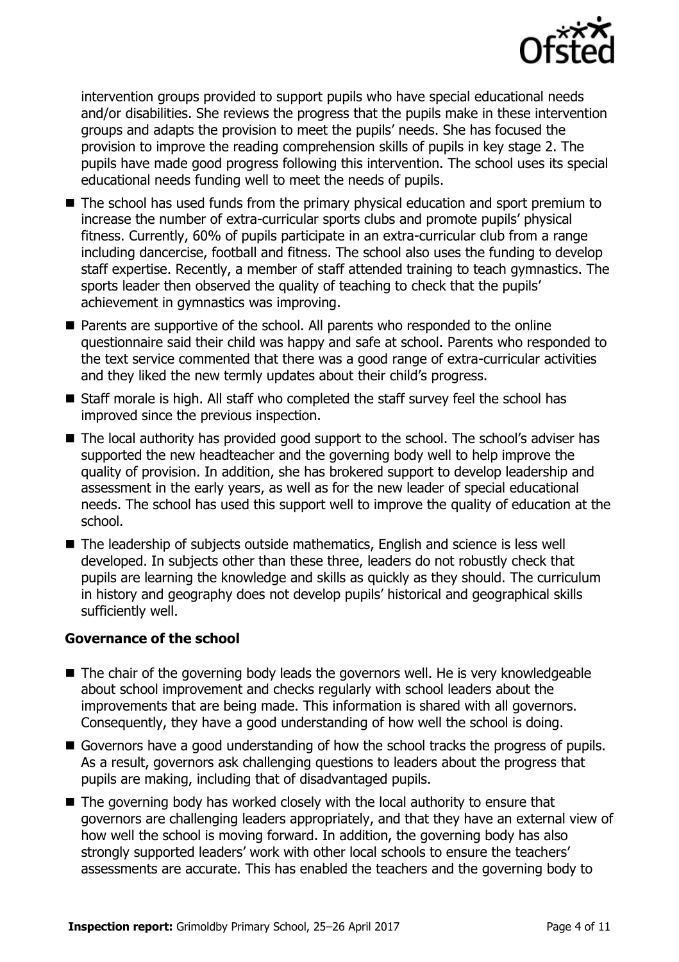

intervention groups provided to support pupils who have special educational needs and/or disabilities. She reviews the progress that the pupils make in these intervention groups and adapts the provision to meet the pupils' needs. She has focused the provision to improve the reading comprehension skills of pupils in key stage 2. The pupils have made good progress following this intervention. The school uses its special educational needs funding well to meet the needs of pupils.

- The school has used funds from the primary physical education and sport premium to increase the number of extra-curricular sports clubs and promote pupils' physical fitness. Currently, 60% of pupils participate in an extra-curricular club from a range including dancercise, football and fitness. The school also uses the funding to develop staff expertise. Recently, a member of staff attended training to teach gymnastics. The sports leader then observed the quality of teaching to check that the pupils' achievement in gymnastics was improving.
- Parents are supportive of the school. All parents who responded to the online questionnaire said their child was happy and safe at school. Parents who responded to the text service commented that there was a good range of extra-curricular activities and they liked the new termly updates about their child's progress.
- Staff morale is high. All staff who completed the staff survey feel the school has improved since the previous inspection.
- The local authority has provided good support to the school. The school's adviser has supported the new headteacher and the governing body well to help improve the quality of provision. In addition, she has brokered support to develop leadership and assessment in the early years, as well as for the new leader of special educational needs. The school has used this support well to improve the quality of education at the school.
- The leadership of subjects outside mathematics, English and science is less well developed. In subjects other than these three, leaders do not robustly check that pupils are learning the knowledge and skills as quickly as they should. The curriculum in history and geography does not develop pupils' historical and geographical skills sufficiently well.

#### **Governance of the school**

- The chair of the governing body leads the governors well. He is very knowledgeable about school improvement and checks regularly with school leaders about the improvements that are being made. This information is shared with all governors. Consequently, they have a good understanding of how well the school is doing.
- Governors have a good understanding of how the school tracks the progress of pupils. As a result, governors ask challenging questions to leaders about the progress that pupils are making, including that of disadvantaged pupils.
- The governing body has worked closely with the local authority to ensure that governors are challenging leaders appropriately, and that they have an external view of how well the school is moving forward. In addition, the governing body has also strongly supported leaders' work with other local schools to ensure the teachers' assessments are accurate. This has enabled the teachers and the governing body to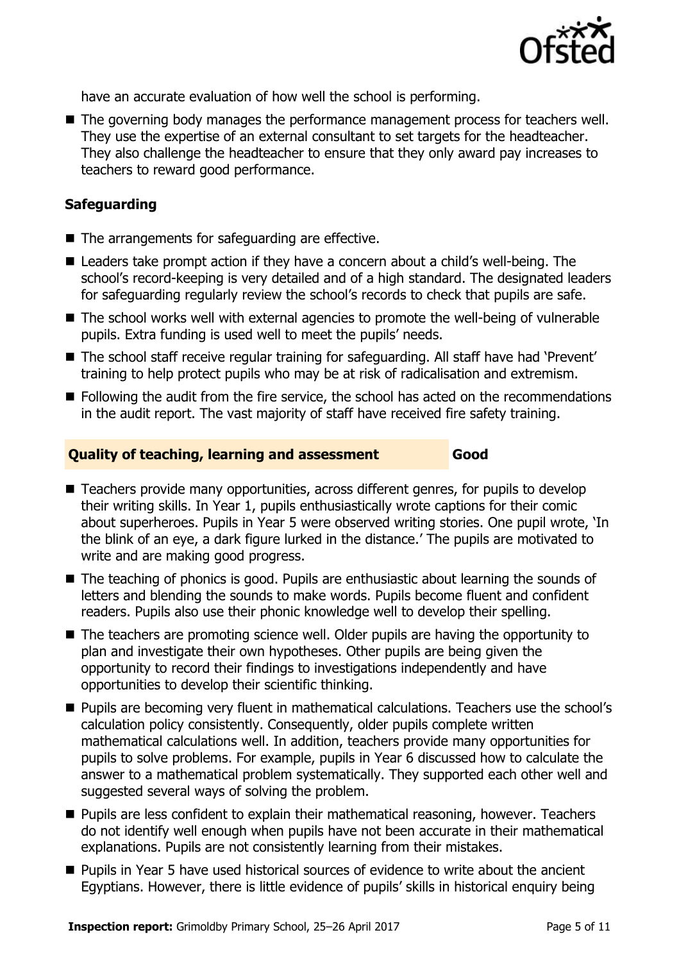

have an accurate evaluation of how well the school is performing.

■ The governing body manages the performance management process for teachers well. They use the expertise of an external consultant to set targets for the headteacher. They also challenge the headteacher to ensure that they only award pay increases to teachers to reward good performance.

#### **Safeguarding**

- $\blacksquare$  The arrangements for safeguarding are effective.
- Leaders take prompt action if they have a concern about a child's well-being. The school's record-keeping is very detailed and of a high standard. The designated leaders for safeguarding regularly review the school's records to check that pupils are safe.
- The school works well with external agencies to promote the well-being of vulnerable pupils. Extra funding is used well to meet the pupils' needs.
- The school staff receive regular training for safeguarding. All staff have had 'Prevent' training to help protect pupils who may be at risk of radicalisation and extremism.
- **Following the audit from the fire service, the school has acted on the recommendations** in the audit report. The vast majority of staff have received fire safety training.

#### **Quality of teaching, learning and assessment Good**

- Teachers provide many opportunities, across different genres, for pupils to develop their writing skills. In Year 1, pupils enthusiastically wrote captions for their comic about superheroes. Pupils in Year 5 were observed writing stories. One pupil wrote, 'In the blink of an eye, a dark figure lurked in the distance.' The pupils are motivated to write and are making good progress.
- The teaching of phonics is good. Pupils are enthusiastic about learning the sounds of letters and blending the sounds to make words. Pupils become fluent and confident readers. Pupils also use their phonic knowledge well to develop their spelling.
- The teachers are promoting science well. Older pupils are having the opportunity to plan and investigate their own hypotheses. Other pupils are being given the opportunity to record their findings to investigations independently and have opportunities to develop their scientific thinking.
- **Pupils are becoming very fluent in mathematical calculations. Teachers use the school's** calculation policy consistently. Consequently, older pupils complete written mathematical calculations well. In addition, teachers provide many opportunities for pupils to solve problems. For example, pupils in Year 6 discussed how to calculate the answer to a mathematical problem systematically. They supported each other well and suggested several ways of solving the problem.
- **Pupils are less confident to explain their mathematical reasoning, however. Teachers** do not identify well enough when pupils have not been accurate in their mathematical explanations. Pupils are not consistently learning from their mistakes.
- Pupils in Year 5 have used historical sources of evidence to write about the ancient Egyptians. However, there is little evidence of pupils' skills in historical enquiry being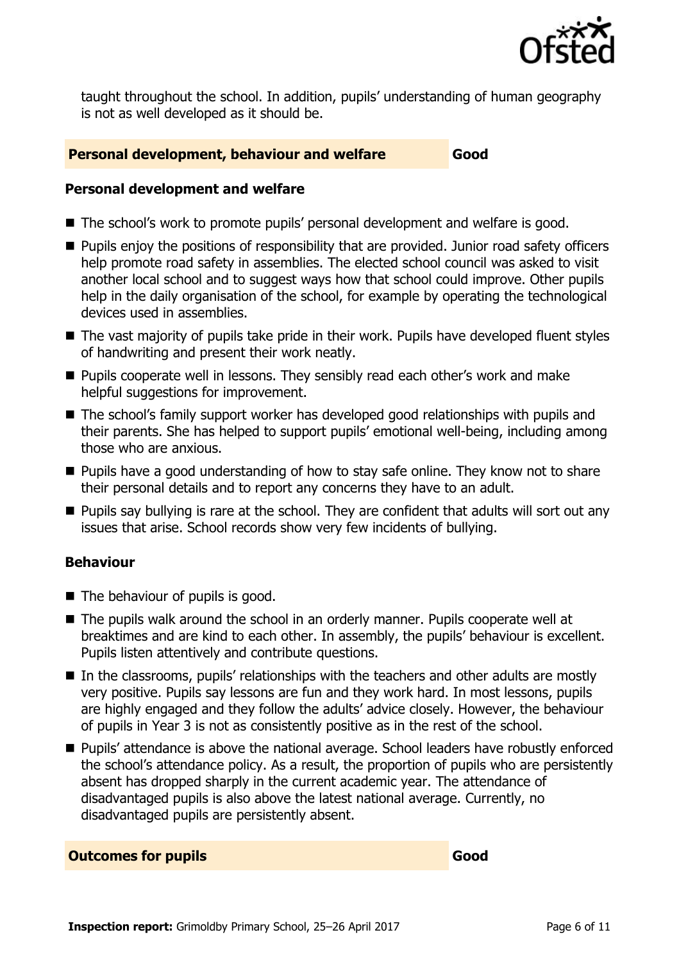

taught throughout the school. In addition, pupils' understanding of human geography is not as well developed as it should be.

#### **Personal development, behaviour and welfare Good**

#### **Personal development and welfare**

- The school's work to promote pupils' personal development and welfare is good.
- **Pupils enjoy the positions of responsibility that are provided. Junior road safety officers** help promote road safety in assemblies. The elected school council was asked to visit another local school and to suggest ways how that school could improve. Other pupils help in the daily organisation of the school, for example by operating the technological devices used in assemblies.
- The vast majority of pupils take pride in their work. Pupils have developed fluent styles of handwriting and present their work neatly.
- **Pupils cooperate well in lessons. They sensibly read each other's work and make** helpful suggestions for improvement.
- The school's family support worker has developed good relationships with pupils and their parents. She has helped to support pupils' emotional well-being, including among those who are anxious.
- **Pupils have a good understanding of how to stay safe online. They know not to share** their personal details and to report any concerns they have to an adult.
- **Pupils say bullying is rare at the school. They are confident that adults will sort out any** issues that arise. School records show very few incidents of bullying.

### **Behaviour**

- The behaviour of pupils is good.
- The pupils walk around the school in an orderly manner. Pupils cooperate well at breaktimes and are kind to each other. In assembly, the pupils' behaviour is excellent. Pupils listen attentively and contribute questions.
- In the classrooms, pupils' relationships with the teachers and other adults are mostly very positive. Pupils say lessons are fun and they work hard. In most lessons, pupils are highly engaged and they follow the adults' advice closely. However, the behaviour of pupils in Year 3 is not as consistently positive as in the rest of the school.
- Pupils' attendance is above the national average. School leaders have robustly enforced the school's attendance policy. As a result, the proportion of pupils who are persistently absent has dropped sharply in the current academic year. The attendance of disadvantaged pupils is also above the latest national average. Currently, no disadvantaged pupils are persistently absent.

#### **Outcomes for pupils Good Good**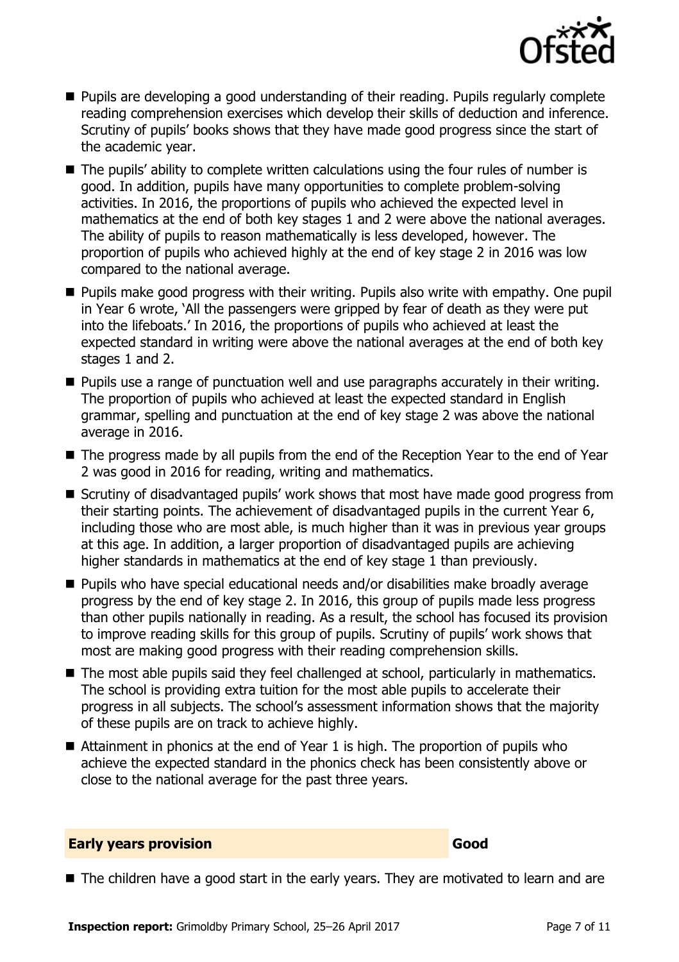

- **Pupils are developing a good understanding of their reading. Pupils regularly complete** reading comprehension exercises which develop their skills of deduction and inference. Scrutiny of pupils' books shows that they have made good progress since the start of the academic year.
- $\blacksquare$  The pupils' ability to complete written calculations using the four rules of number is good. In addition, pupils have many opportunities to complete problem-solving activities. In 2016, the proportions of pupils who achieved the expected level in mathematics at the end of both key stages 1 and 2 were above the national averages. The ability of pupils to reason mathematically is less developed, however. The proportion of pupils who achieved highly at the end of key stage 2 in 2016 was low compared to the national average.
- **Pupils make good progress with their writing. Pupils also write with empathy. One pupil** in Year 6 wrote, 'All the passengers were gripped by fear of death as they were put into the lifeboats.' In 2016, the proportions of pupils who achieved at least the expected standard in writing were above the national averages at the end of both key stages 1 and 2.
- **Pupils use a range of punctuation well and use paragraphs accurately in their writing.** The proportion of pupils who achieved at least the expected standard in English grammar, spelling and punctuation at the end of key stage 2 was above the national average in 2016.
- The progress made by all pupils from the end of the Reception Year to the end of Year 2 was good in 2016 for reading, writing and mathematics.
- Scrutiny of disadvantaged pupils' work shows that most have made good progress from their starting points. The achievement of disadvantaged pupils in the current Year 6, including those who are most able, is much higher than it was in previous year groups at this age. In addition, a larger proportion of disadvantaged pupils are achieving higher standards in mathematics at the end of key stage 1 than previously.
- Pupils who have special educational needs and/or disabilities make broadly average progress by the end of key stage 2. In 2016, this group of pupils made less progress than other pupils nationally in reading. As a result, the school has focused its provision to improve reading skills for this group of pupils. Scrutiny of pupils' work shows that most are making good progress with their reading comprehension skills.
- The most able pupils said they feel challenged at school, particularly in mathematics. The school is providing extra tuition for the most able pupils to accelerate their progress in all subjects. The school's assessment information shows that the majority of these pupils are on track to achieve highly.
- Attainment in phonics at the end of Year 1 is high. The proportion of pupils who achieve the expected standard in the phonics check has been consistently above or close to the national average for the past three years.

#### **Early years provision Good Good**

The children have a good start in the early years. They are motivated to learn and are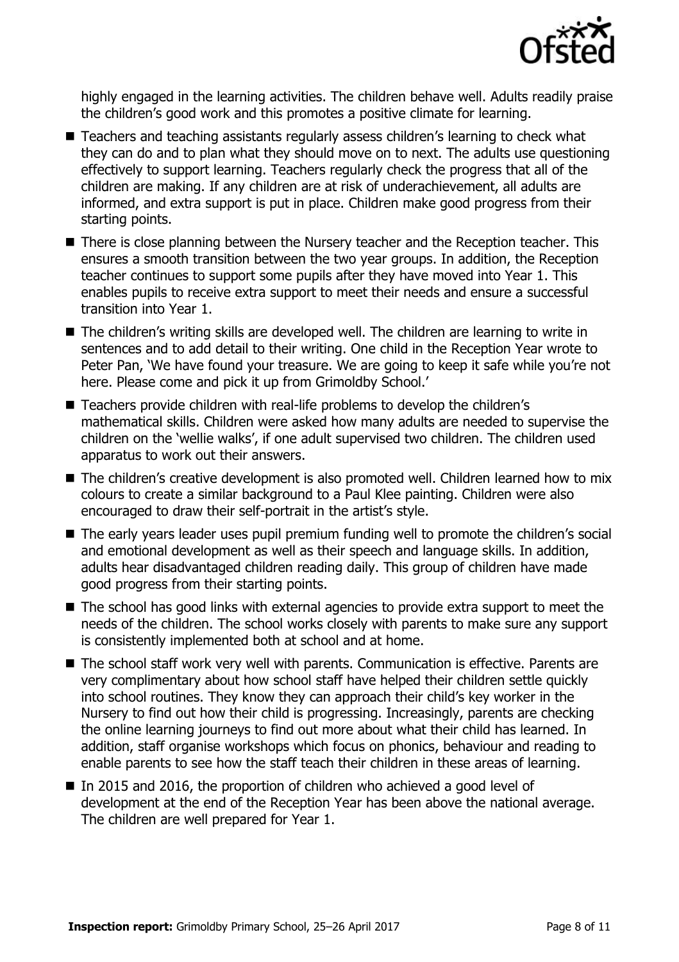

highly engaged in the learning activities. The children behave well. Adults readily praise the children's good work and this promotes a positive climate for learning.

- Teachers and teaching assistants regularly assess children's learning to check what they can do and to plan what they should move on to next. The adults use questioning effectively to support learning. Teachers regularly check the progress that all of the children are making. If any children are at risk of underachievement, all adults are informed, and extra support is put in place. Children make good progress from their starting points.
- There is close planning between the Nursery teacher and the Reception teacher. This ensures a smooth transition between the two year groups. In addition, the Reception teacher continues to support some pupils after they have moved into Year 1. This enables pupils to receive extra support to meet their needs and ensure a successful transition into Year 1.
- The children's writing skills are developed well. The children are learning to write in sentences and to add detail to their writing. One child in the Reception Year wrote to Peter Pan, 'We have found your treasure. We are going to keep it safe while you're not here. Please come and pick it up from Grimoldby School.'
- Teachers provide children with real-life problems to develop the children's mathematical skills. Children were asked how many adults are needed to supervise the children on the 'wellie walks', if one adult supervised two children. The children used apparatus to work out their answers.
- The children's creative development is also promoted well. Children learned how to mix colours to create a similar background to a Paul Klee painting. Children were also encouraged to draw their self-portrait in the artist's style.
- The early years leader uses pupil premium funding well to promote the children's social and emotional development as well as their speech and language skills. In addition, adults hear disadvantaged children reading daily. This group of children have made good progress from their starting points.
- The school has good links with external agencies to provide extra support to meet the needs of the children. The school works closely with parents to make sure any support is consistently implemented both at school and at home.
- The school staff work very well with parents. Communication is effective. Parents are very complimentary about how school staff have helped their children settle quickly into school routines. They know they can approach their child's key worker in the Nursery to find out how their child is progressing. Increasingly, parents are checking the online learning journeys to find out more about what their child has learned. In addition, staff organise workshops which focus on phonics, behaviour and reading to enable parents to see how the staff teach their children in these areas of learning.
- In 2015 and 2016, the proportion of children who achieved a good level of development at the end of the Reception Year has been above the national average. The children are well prepared for Year 1.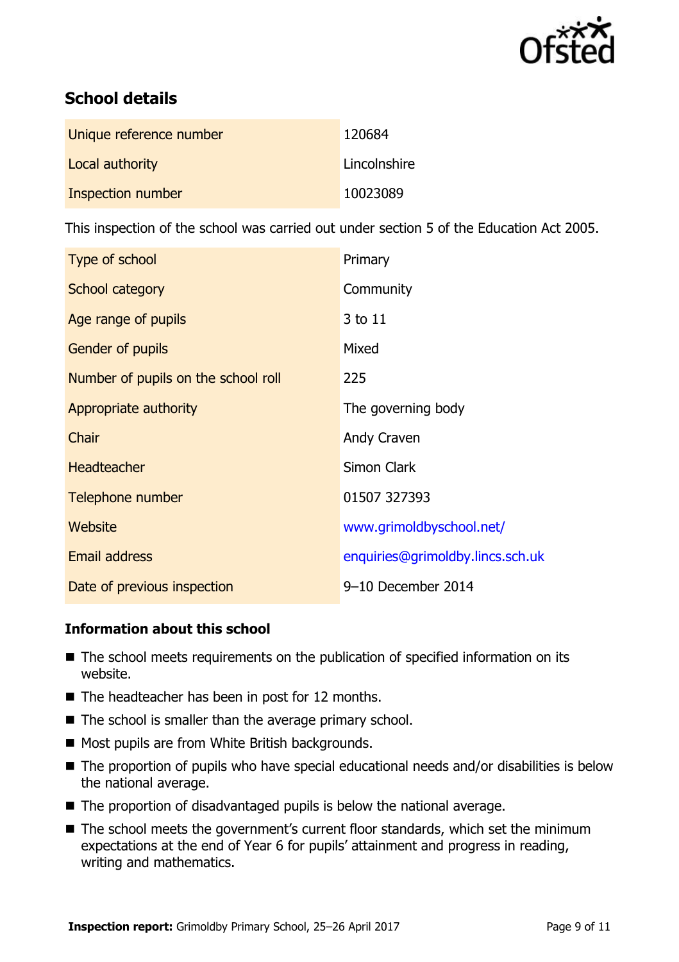

# **School details**

| Unique reference number | 120684       |
|-------------------------|--------------|
| Local authority         | Lincolnshire |
| Inspection number       | 10023089     |

This inspection of the school was carried out under section 5 of the Education Act 2005.

| Type of school                      | Primary                          |
|-------------------------------------|----------------------------------|
| School category                     | Community                        |
| Age range of pupils                 | 3 to 11                          |
| <b>Gender of pupils</b>             | Mixed                            |
| Number of pupils on the school roll | 225                              |
| Appropriate authority               | The governing body               |
| Chair                               | Andy Craven                      |
| <b>Headteacher</b>                  | <b>Simon Clark</b>               |
| Telephone number                    | 01507 327393                     |
| Website                             | www.grimoldbyschool.net/         |
| <b>Email address</b>                | enquiries@grimoldby.lincs.sch.uk |
| Date of previous inspection         | 9-10 December 2014               |

## **Information about this school**

- The school meets requirements on the publication of specified information on its website.
- $\blacksquare$  The headteacher has been in post for 12 months.
- $\blacksquare$  The school is smaller than the average primary school.
- Most pupils are from White British backgrounds.
- The proportion of pupils who have special educational needs and/or disabilities is below the national average.
- $\blacksquare$  The proportion of disadvantaged pupils is below the national average.
- The school meets the government's current floor standards, which set the minimum expectations at the end of Year 6 for pupils' attainment and progress in reading, writing and mathematics.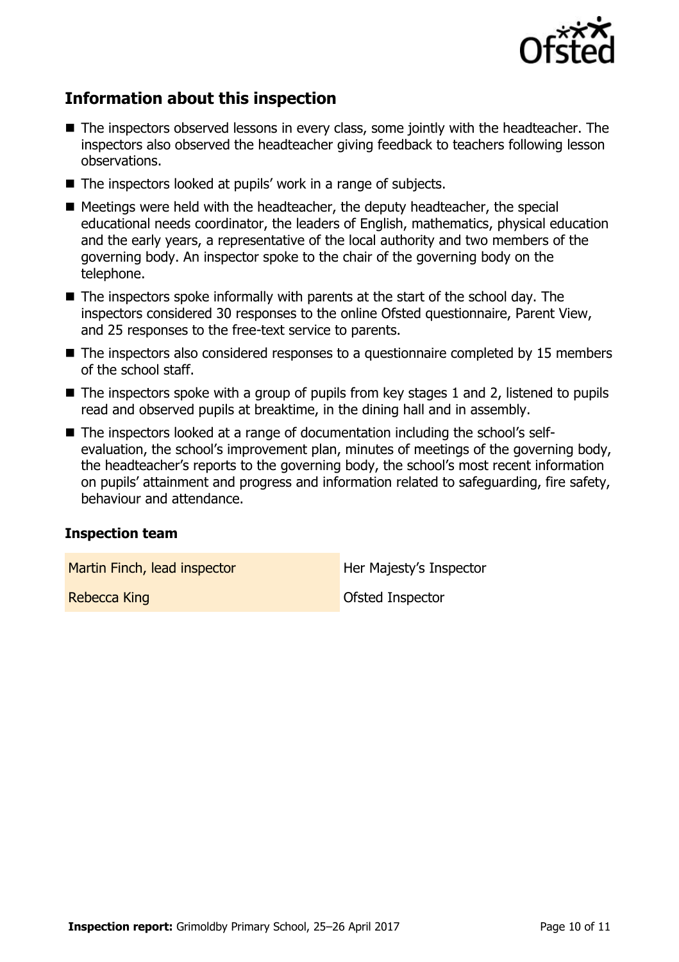

## **Information about this inspection**

- The inspectors observed lessons in every class, some jointly with the headteacher. The inspectors also observed the headteacher giving feedback to teachers following lesson observations.
- The inspectors looked at pupils' work in a range of subjects.
- Meetings were held with the headteacher, the deputy headteacher, the special educational needs coordinator, the leaders of English, mathematics, physical education and the early years, a representative of the local authority and two members of the governing body. An inspector spoke to the chair of the governing body on the telephone.
- $\blacksquare$  The inspectors spoke informally with parents at the start of the school day. The inspectors considered 30 responses to the online Ofsted questionnaire, Parent View, and 25 responses to the free-text service to parents.
- The inspectors also considered responses to a questionnaire completed by 15 members of the school staff.
- $\blacksquare$  The inspectors spoke with a group of pupils from key stages 1 and 2, listened to pupils read and observed pupils at breaktime, in the dining hall and in assembly.
- The inspectors looked at a range of documentation including the school's selfevaluation, the school's improvement plan, minutes of meetings of the governing body, the headteacher's reports to the governing body, the school's most recent information on pupils' attainment and progress and information related to safeguarding, fire safety, behaviour and attendance.

#### **Inspection team**

Martin Finch, lead inspector **Her Majesty's Inspector** 

**Rebecca King Community Community Community** Construction Construction Construction Construction Construction Construction Construction Construction Construction Construction Construction Construction Construction Construc